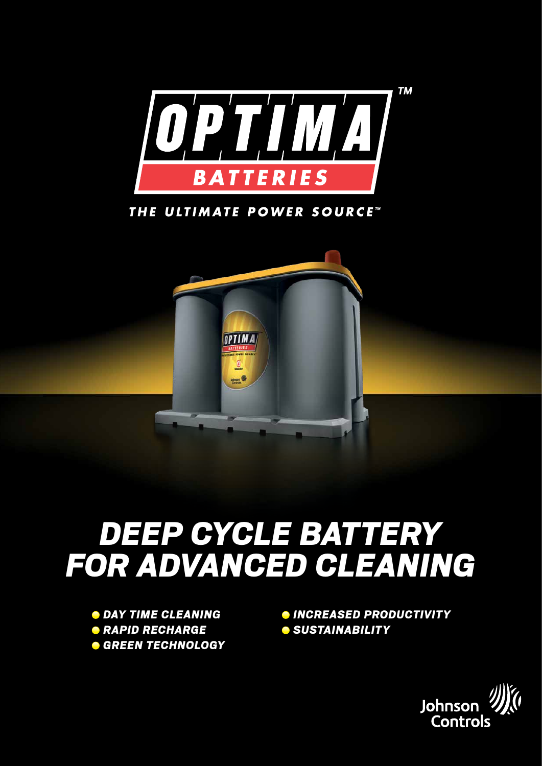

THE ULTIMATE POWER SOURCE"



# *Deep cycle BatterY For advanced cleaning*

 *Day Time Cleaning Rapid Recharge Green Technology*

*Increased Productivity Sustainability*